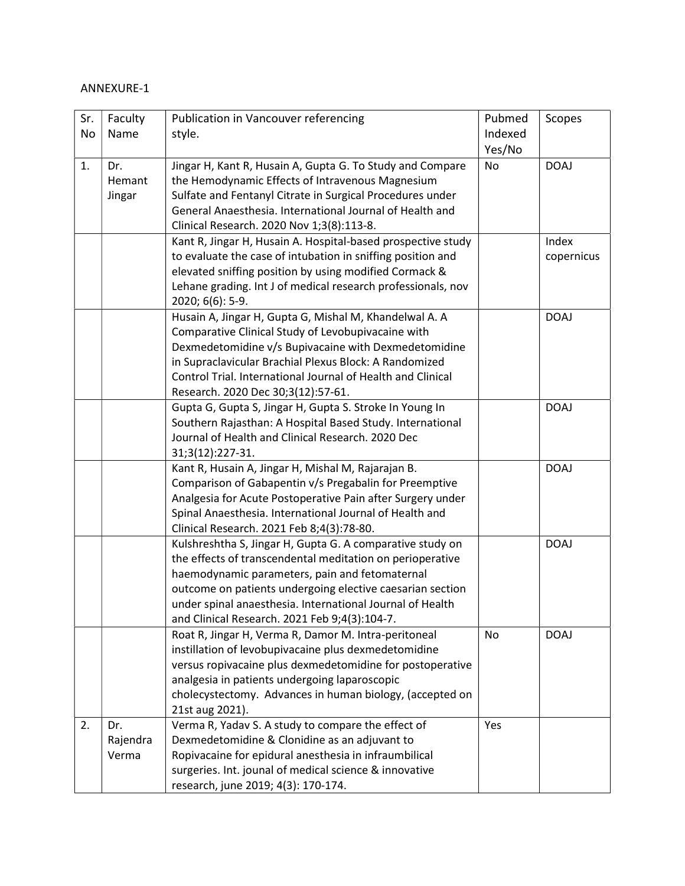## ANNEXURE-1

| Sr. | Faculty  | Publication in Vancouver referencing                         | Pubmed    | Scopes      |
|-----|----------|--------------------------------------------------------------|-----------|-------------|
| No  | Name     | style.                                                       | Indexed   |             |
|     |          |                                                              | Yes/No    |             |
| 1.  | Dr.      | Jingar H, Kant R, Husain A, Gupta G. To Study and Compare    | <b>No</b> | <b>DOAJ</b> |
|     | Hemant   | the Hemodynamic Effects of Intravenous Magnesium             |           |             |
|     | Jingar   | Sulfate and Fentanyl Citrate in Surgical Procedures under    |           |             |
|     |          | General Anaesthesia. International Journal of Health and     |           |             |
|     |          | Clinical Research. 2020 Nov 1;3(8):113-8.                    |           |             |
|     |          | Kant R, Jingar H, Husain A. Hospital-based prospective study |           | Index       |
|     |          | to evaluate the case of intubation in sniffing position and  |           | copernicus  |
|     |          | elevated sniffing position by using modified Cormack &       |           |             |
|     |          | Lehane grading. Int J of medical research professionals, nov |           |             |
|     |          | 2020; 6(6): 5-9.                                             |           |             |
|     |          | Husain A, Jingar H, Gupta G, Mishal M, Khandelwal A. A       |           | <b>DOAJ</b> |
|     |          | Comparative Clinical Study of Levobupivacaine with           |           |             |
|     |          | Dexmedetomidine v/s Bupivacaine with Dexmedetomidine         |           |             |
|     |          | in Supraclavicular Brachial Plexus Block: A Randomized       |           |             |
|     |          | Control Trial, International Journal of Health and Clinical  |           |             |
|     |          | Research. 2020 Dec 30;3(12):57-61.                           |           |             |
|     |          | Gupta G, Gupta S, Jingar H, Gupta S. Stroke In Young In      |           | <b>DOAJ</b> |
|     |          | Southern Rajasthan: A Hospital Based Study. International    |           |             |
|     |          | Journal of Health and Clinical Research. 2020 Dec            |           |             |
|     |          | 31;3(12):227-31.                                             |           |             |
|     |          | Kant R, Husain A, Jingar H, Mishal M, Rajarajan B.           |           | <b>DOAJ</b> |
|     |          | Comparison of Gabapentin v/s Pregabalin for Preemptive       |           |             |
|     |          | Analgesia for Acute Postoperative Pain after Surgery under   |           |             |
|     |          | Spinal Anaesthesia. International Journal of Health and      |           |             |
|     |          | Clinical Research. 2021 Feb 8;4(3):78-80.                    |           |             |
|     |          | Kulshreshtha S, Jingar H, Gupta G. A comparative study on    |           | <b>DOAJ</b> |
|     |          | the effects of transcendental meditation on perioperative    |           |             |
|     |          | haemodynamic parameters, pain and fetomaternal               |           |             |
|     |          | outcome on patients undergoing elective caesarian section    |           |             |
|     |          | under spinal anaesthesia. International Journal of Health    |           |             |
|     |          | and Clinical Research. 2021 Feb 9;4(3):104-7.                |           |             |
|     |          | Roat R, Jingar H, Verma R, Damor M. Intra-peritoneal         | No        | <b>DOAJ</b> |
|     |          | instillation of levobupivacaine plus dexmedetomidine         |           |             |
|     |          | versus ropivacaine plus dexmedetomidine for postoperative    |           |             |
|     |          | analgesia in patients undergoing laparoscopic                |           |             |
|     |          | cholecystectomy. Advances in human biology, (accepted on     |           |             |
|     |          | 21st aug 2021).                                              |           |             |
| 2.  | Dr.      | Verma R, Yadav S. A study to compare the effect of           | Yes       |             |
|     | Rajendra | Dexmedetomidine & Clonidine as an adjuvant to                |           |             |
|     | Verma    | Ropivacaine for epidural anesthesia in infraumbilical        |           |             |
|     |          | surgeries. Int. jounal of medical science & innovative       |           |             |
|     |          | research, june 2019; 4(3): 170-174.                          |           |             |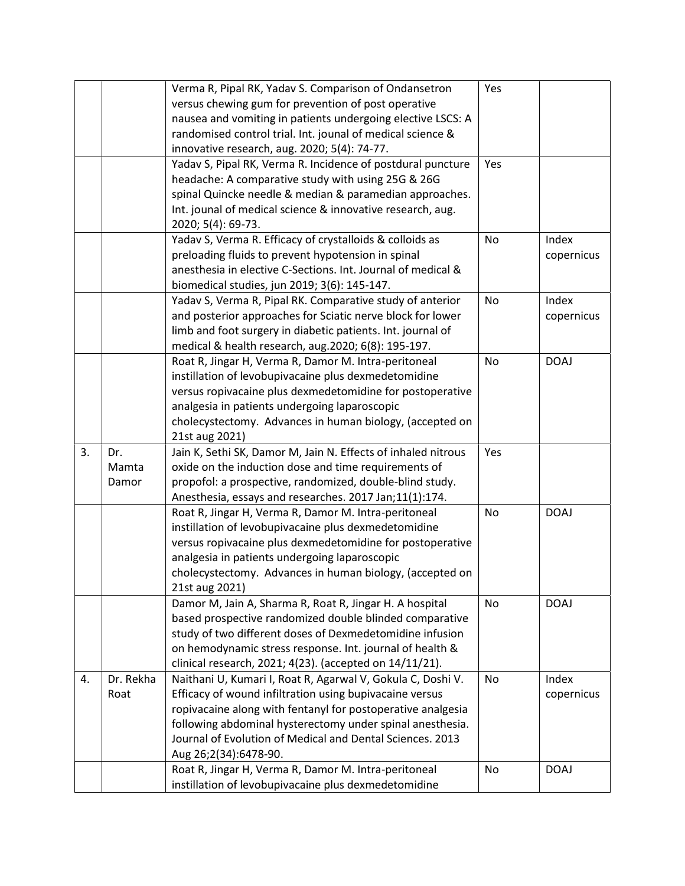|    |           | Verma R, Pipal RK, Yadav S. Comparison of Ondansetron         | Yes       |             |
|----|-----------|---------------------------------------------------------------|-----------|-------------|
|    |           | versus chewing gum for prevention of post operative           |           |             |
|    |           | nausea and vomiting in patients undergoing elective LSCS: A   |           |             |
|    |           | randomised control trial. Int. jounal of medical science &    |           |             |
|    |           | innovative research, aug. 2020; 5(4): 74-77.                  |           |             |
|    |           | Yadav S, Pipal RK, Verma R. Incidence of postdural puncture   | Yes       |             |
|    |           | headache: A comparative study with using 25G & 26G            |           |             |
|    |           | spinal Quincke needle & median & paramedian approaches.       |           |             |
|    |           | Int. jounal of medical science & innovative research, aug.    |           |             |
|    |           | 2020; 5(4): 69-73.                                            |           |             |
|    |           | Yadav S, Verma R. Efficacy of crystalloids & colloids as      | No        | Index       |
|    |           | preloading fluids to prevent hypotension in spinal            |           |             |
|    |           | anesthesia in elective C-Sections. Int. Journal of medical &  |           | copernicus  |
|    |           |                                                               |           |             |
|    |           | biomedical studies, jun 2019; 3(6): 145-147.                  |           |             |
|    |           | Yadav S, Verma R, Pipal RK. Comparative study of anterior     | <b>No</b> | Index       |
|    |           | and posterior approaches for Sciatic nerve block for lower    |           | copernicus  |
|    |           | limb and foot surgery in diabetic patients. Int. journal of   |           |             |
|    |           | medical & health research, aug.2020; 6(8): 195-197.           |           |             |
|    |           | Roat R, Jingar H, Verma R, Damor M. Intra-peritoneal          | No        | <b>DOAJ</b> |
|    |           | instillation of levobupivacaine plus dexmedetomidine          |           |             |
|    |           | versus ropivacaine plus dexmedetomidine for postoperative     |           |             |
|    |           | analgesia in patients undergoing laparoscopic                 |           |             |
|    |           | cholecystectomy. Advances in human biology, (accepted on      |           |             |
|    |           | 21st aug 2021)                                                |           |             |
| 3. | Dr.       | Jain K, Sethi SK, Damor M, Jain N. Effects of inhaled nitrous | Yes       |             |
|    | Mamta     | oxide on the induction dose and time requirements of          |           |             |
|    | Damor     | propofol: a prospective, randomized, double-blind study.      |           |             |
|    |           | Anesthesia, essays and researches. 2017 Jan;11(1):174.        |           |             |
|    |           | Roat R, Jingar H, Verma R, Damor M. Intra-peritoneal          | No        | <b>DOAJ</b> |
|    |           | instillation of levobupivacaine plus dexmedetomidine          |           |             |
|    |           | versus ropivacaine plus dexmedetomidine for postoperative     |           |             |
|    |           | analgesia in patients undergoing laparoscopic                 |           |             |
|    |           | cholecystectomy. Advances in human biology, (accepted on      |           |             |
|    |           | 21st aug 2021)                                                |           |             |
|    |           | Damor M, Jain A, Sharma R, Roat R, Jingar H. A hospital       | No        | <b>DOAJ</b> |
|    |           | based prospective randomized double blinded comparative       |           |             |
|    |           | study of two different doses of Dexmedetomidine infusion      |           |             |
|    |           | on hemodynamic stress response. Int. journal of health &      |           |             |
|    |           | clinical research, 2021; 4(23). (accepted on 14/11/21).       |           |             |
| 4. | Dr. Rekha | Naithani U, Kumari I, Roat R, Agarwal V, Gokula C, Doshi V.   | No        | Index       |
|    | Roat      | Efficacy of wound infiltration using bupivacaine versus       |           | copernicus  |
|    |           | ropivacaine along with fentanyl for postoperative analgesia   |           |             |
|    |           | following abdominal hysterectomy under spinal anesthesia.     |           |             |
|    |           | Journal of Evolution of Medical and Dental Sciences. 2013     |           |             |
|    |           | Aug 26;2(34):6478-90.                                         |           |             |
|    |           | Roat R, Jingar H, Verma R, Damor M. Intra-peritoneal          | No        | <b>DOAJ</b> |
|    |           | instillation of levobupivacaine plus dexmedetomidine          |           |             |